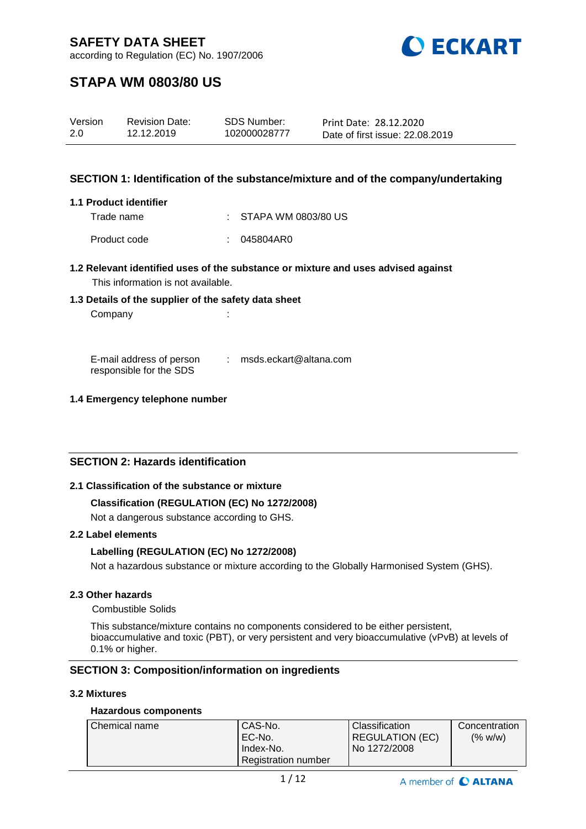

according to Regulation (EC) No. 1907/2006

## **STAPA WM 0803/80 US**

| Version | <b>Revision Date:</b> | SDS Number:  | Print Date: 28.12.2020          |
|---------|-----------------------|--------------|---------------------------------|
| 2.0     | 12.12.2019            | 102000028777 | Date of first issue: 22.08.2019 |

### **SECTION 1: Identification of the substance/mixture and of the company/undertaking**

#### **1.1 Product identifier**

Trade name : STAPA WM 0803/80 US

Product code : 045804AR0

### **1.2 Relevant identified uses of the substance or mixture and uses advised against** This information is not available.

### **1.3 Details of the supplier of the safety data sheet**

Company : the company of the company of the company of the company of the company of the company of the company of the company of the company of the company of the company of the company of the company of the company of th

E-mail address of person responsible for the SDS : msds.eckart@altana.com

### **1.4 Emergency telephone number**

### **SECTION 2: Hazards identification**

### **2.1 Classification of the substance or mixture**

### **Classification (REGULATION (EC) No 1272/2008)**

Not a dangerous substance according to GHS.

### **2.2 Label elements**

### **Labelling (REGULATION (EC) No 1272/2008)**

Not a hazardous substance or mixture according to the Globally Harmonised System (GHS).

### **2.3 Other hazards**

Combustible Solids

This substance/mixture contains no components considered to be either persistent, bioaccumulative and toxic (PBT), or very persistent and very bioaccumulative (vPvB) at levels of 0.1% or higher.

### **SECTION 3: Composition/information on ingredients**

### **3.2 Mixtures**

### **Hazardous components**

| Chemical name | CAS-No.                    | <b>Classification</b>  | Concentration |
|---------------|----------------------------|------------------------|---------------|
|               | EC-No.                     | <b>REGULATION (EC)</b> | (% w/w)       |
|               | Index-No.                  | No 1272/2008           |               |
|               | <b>Registration number</b> |                        |               |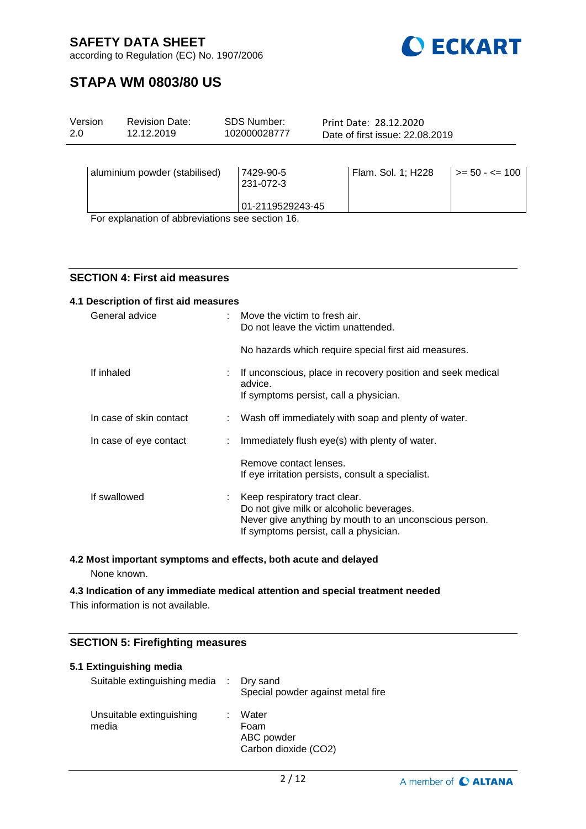

according to Regulation (EC) No. 1907/2006

## **STAPA WM 0803/80 US**

| Version | <b>Revision Date:</b>              | <b>SDS Number:</b>                         | Print Date: 28.12.2020          |                          |  |
|---------|------------------------------------|--------------------------------------------|---------------------------------|--------------------------|--|
| 2.0     | 12.12.2019                         | 102000028777                               | Date of first issue: 22.08.2019 |                          |  |
|         | aluminium powder (stabilised)<br>. | 7429-90-5<br>231-072-3<br>01-2119529243-45 | Flam. Sol. 1; H228              | $\ge$ = 50 - $\le$ = 100 |  |

For explanation of abbreviations see section 16.

### **SECTION 4: First aid measures**

| 4.1 Description of first aid measures |  |                                                                                                                                                                                 |
|---------------------------------------|--|---------------------------------------------------------------------------------------------------------------------------------------------------------------------------------|
| General advice                        |  | $\therefore$ Move the victim to fresh air.<br>Do not leave the victim unattended.                                                                                               |
|                                       |  | No hazards which require special first aid measures.                                                                                                                            |
| If inhaled                            |  | If unconscious, place in recovery position and seek medical<br>advice.<br>If symptoms persist, call a physician.                                                                |
| In case of skin contact               |  | : Wash off immediately with soap and plenty of water.                                                                                                                           |
| In case of eye contact                |  | Immediately flush eye(s) with plenty of water.                                                                                                                                  |
|                                       |  | Remove contact lenses.<br>If eye irritation persists, consult a specialist.                                                                                                     |
| If swallowed                          |  | : Keep respiratory tract clear.<br>Do not give milk or alcoholic beverages.<br>Never give anything by mouth to an unconscious person.<br>If symptoms persist, call a physician. |

### **4.2 Most important symptoms and effects, both acute and delayed**

None known.

# **4.3 Indication of any immediate medical attention and special treatment needed**

This information is not available.

### **SECTION 5: Firefighting measures**

| 5.1 Extinguishing media<br>Suitable extinguishing media : Dry sand | Special powder against metal fire                   |
|--------------------------------------------------------------------|-----------------------------------------------------|
| Unsuitable extinguishing<br>media                                  | Water<br>Foam<br>ABC powder<br>Carbon dioxide (CO2) |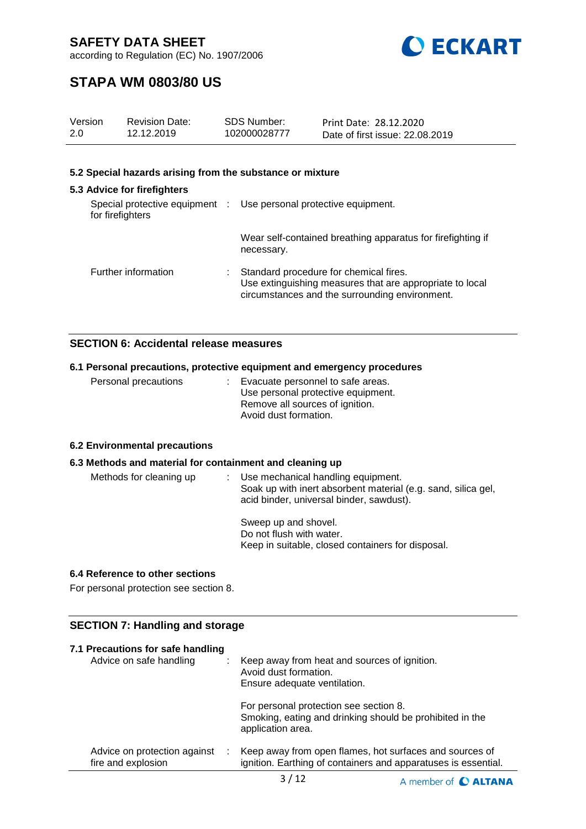



## **STAPA WM 0803/80 US**

| Version<br>2.0   | <b>Revision Date:</b><br>12.12.2019                       |    | SDS Number:<br>102000028777                                       | Print Date: 28.12.2020<br>Date of first issue: 22.08.2019                                                                                            |  |
|------------------|-----------------------------------------------------------|----|-------------------------------------------------------------------|------------------------------------------------------------------------------------------------------------------------------------------------------|--|
|                  | 5.2 Special hazards arising from the substance or mixture |    |                                                                   |                                                                                                                                                      |  |
|                  | 5.3 Advice for firefighters                               |    |                                                                   |                                                                                                                                                      |  |
| for firefighters |                                                           |    | Special protective equipment : Use personal protective equipment. |                                                                                                                                                      |  |
|                  |                                                           |    | necessary.                                                        | Wear self-contained breathing apparatus for firefighting if                                                                                          |  |
|                  | Further information                                       | ÷. |                                                                   | Standard procedure for chemical fires.<br>Use extinguishing measures that are appropriate to local<br>circumstances and the surrounding environment. |  |

### **SECTION 6: Accidental release measures**

### **6.1 Personal precautions, protective equipment and emergency procedures**

| Personal precautions | : Evacuate personnel to safe areas. |
|----------------------|-------------------------------------|
|                      | Use personal protective equipment.  |
|                      | Remove all sources of ignition.     |
|                      | Avoid dust formation.               |

### **6.2 Environmental precautions**

### **6.3 Methods and material for containment and cleaning up**

| Methods for cleaning up | Use mechanical handling equipment.<br>Soak up with inert absorbent material (e.g. sand, silica gel,<br>acid binder, universal binder, sawdust). |
|-------------------------|-------------------------------------------------------------------------------------------------------------------------------------------------|
|                         | Sweep up and shovel.<br>Do not flush with water.<br>Keep in suitable, closed containers for disposal.                                           |

#### **6.4 Reference to other sections**

For personal protection see section 8.

### **SECTION 7: Handling and storage**

| 7.1 Precautions for safe handling<br>Advice on safe handling |   | Keep away from heat and sources of ignition.<br>Avoid dust formation.<br>Ensure adequate ventilation.                     |
|--------------------------------------------------------------|---|---------------------------------------------------------------------------------------------------------------------------|
|                                                              |   | For personal protection see section 8.<br>Smoking, eating and drinking should be prohibited in the<br>application area.   |
| Advice on protection against<br>fire and explosion           | ÷ | Keep away from open flames, hot surfaces and sources of<br>ignition. Earthing of containers and apparatuses is essential. |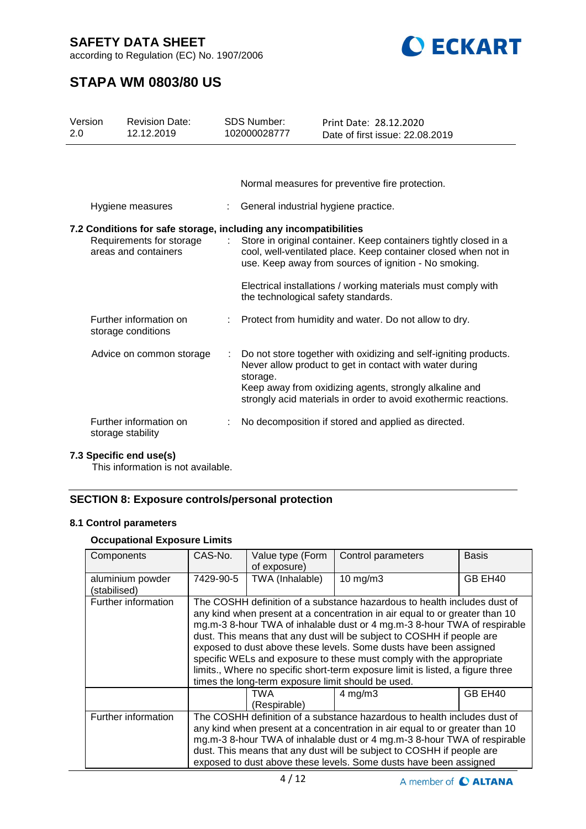according to Regulation (EC) No. 1907/2006



## **STAPA WM 0803/80 US**

| Version<br>2.0 | <b>Revision Date:</b><br>12.12.2019                                                                                  | <b>SDS Number:</b><br>102000028777   | Print Date: 28.12.2020<br>Date of first issue: 22.08.2019                                                                                                                                                                                                |
|----------------|----------------------------------------------------------------------------------------------------------------------|--------------------------------------|----------------------------------------------------------------------------------------------------------------------------------------------------------------------------------------------------------------------------------------------------------|
|                |                                                                                                                      |                                      |                                                                                                                                                                                                                                                          |
|                |                                                                                                                      |                                      | Normal measures for preventive fire protection.                                                                                                                                                                                                          |
|                | Hygiene measures                                                                                                     | General industrial hygiene practice. |                                                                                                                                                                                                                                                          |
|                | 7.2 Conditions for safe storage, including any incompatibilities<br>Requirements for storage<br>areas and containers |                                      | Store in original container. Keep containers tightly closed in a<br>cool, well-ventilated place. Keep container closed when not in<br>use. Keep away from sources of ignition - No smoking.                                                              |
|                |                                                                                                                      | the technological safety standards.  | Electrical installations / working materials must comply with                                                                                                                                                                                            |
|                | Further information on<br>storage conditions                                                                         |                                      | Protect from humidity and water. Do not allow to dry.                                                                                                                                                                                                    |
|                | Advice on common storage                                                                                             | storage.                             | Do not store together with oxidizing and self-igniting products.<br>Never allow product to get in contact with water during<br>Keep away from oxidizing agents, strongly alkaline and<br>strongly acid materials in order to avoid exothermic reactions. |
|                | Further information on<br>storage stability                                                                          |                                      | No decomposition if stored and applied as directed.                                                                                                                                                                                                      |

### **7.3 Specific end use(s)**

This information is not available.

### **SECTION 8: Exposure controls/personal protection**

### **8.1 Control parameters**

### **Occupational Exposure Limits**

| Components                       | CAS-No.                                                                                                                                                                                                                                                                                                                                                                                                                                                                                                                                                                                           | Value type (Form<br>of exposure) | Control parameters | Basis   |  |
|----------------------------------|---------------------------------------------------------------------------------------------------------------------------------------------------------------------------------------------------------------------------------------------------------------------------------------------------------------------------------------------------------------------------------------------------------------------------------------------------------------------------------------------------------------------------------------------------------------------------------------------------|----------------------------------|--------------------|---------|--|
| aluminium powder<br>(stabilised) | 7429-90-5                                                                                                                                                                                                                                                                                                                                                                                                                                                                                                                                                                                         | TWA (Inhalable)                  | $10$ mg/m $3$      | GB EH40 |  |
| Further information              | The COSHH definition of a substance hazardous to health includes dust of<br>any kind when present at a concentration in air equal to or greater than 10<br>mg.m-3 8-hour TWA of inhalable dust or 4 mg.m-3 8-hour TWA of respirable<br>dust. This means that any dust will be subject to COSHH if people are<br>exposed to dust above these levels. Some dusts have been assigned<br>specific WELs and exposure to these must comply with the appropriate<br>limits., Where no specific short-term exposure limit is listed, a figure three<br>times the long-term exposure limit should be used. |                                  |                    |         |  |
|                                  |                                                                                                                                                                                                                                                                                                                                                                                                                                                                                                                                                                                                   | TWA<br>(Respirable)              | $4 \text{ mg/m}$ 3 | GB EH40 |  |
| Further information              | The COSHH definition of a substance hazardous to health includes dust of<br>any kind when present at a concentration in air equal to or greater than 10<br>mg.m-3 8-hour TWA of inhalable dust or 4 mg.m-3 8-hour TWA of respirable<br>dust. This means that any dust will be subject to COSHH if people are<br>exposed to dust above these levels. Some dusts have been assigned                                                                                                                                                                                                                 |                                  |                    |         |  |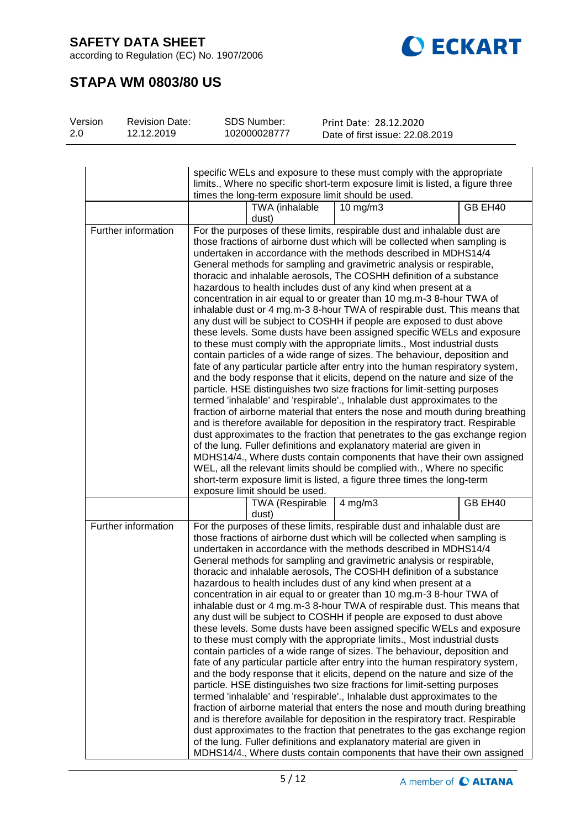according to Regulation (EC) No. 1907/2006



# **STAPA WM 0803/80 US**

| Print Date: 28.12.2020          | SDS Number:  | <b>Revision Date:</b> | Version |
|---------------------------------|--------------|-----------------------|---------|
| Date of first issue: 22.08.2019 | 102000028777 | 12.12.2019            | -2.0    |
|                                 |              |                       |         |

|                     | specific WELs and exposure to these must comply with the appropriate<br>limits., Where no specific short-term exposure limit is listed, a figure three<br>times the long-term exposure limit should be used.                                                                                                                                                                                                                                                                                                                                                                                                                                                                                                                                                                                                                                                                                                                                                                                                                                                                                                                                                                                                                                                                                                                                                                                                                                                                                                                                                                                                                                                                                                                                                                                                                           |  |  |  |  |
|---------------------|----------------------------------------------------------------------------------------------------------------------------------------------------------------------------------------------------------------------------------------------------------------------------------------------------------------------------------------------------------------------------------------------------------------------------------------------------------------------------------------------------------------------------------------------------------------------------------------------------------------------------------------------------------------------------------------------------------------------------------------------------------------------------------------------------------------------------------------------------------------------------------------------------------------------------------------------------------------------------------------------------------------------------------------------------------------------------------------------------------------------------------------------------------------------------------------------------------------------------------------------------------------------------------------------------------------------------------------------------------------------------------------------------------------------------------------------------------------------------------------------------------------------------------------------------------------------------------------------------------------------------------------------------------------------------------------------------------------------------------------------------------------------------------------------------------------------------------------|--|--|--|--|
|                     | GB EH40<br>TWA (inhalable<br>$10 \text{ mg/m}$<br>dust)                                                                                                                                                                                                                                                                                                                                                                                                                                                                                                                                                                                                                                                                                                                                                                                                                                                                                                                                                                                                                                                                                                                                                                                                                                                                                                                                                                                                                                                                                                                                                                                                                                                                                                                                                                                |  |  |  |  |
| Further information | For the purposes of these limits, respirable dust and inhalable dust are<br>those fractions of airborne dust which will be collected when sampling is<br>undertaken in accordance with the methods described in MDHS14/4<br>General methods for sampling and gravimetric analysis or respirable,<br>thoracic and inhalable aerosols, The COSHH definition of a substance<br>hazardous to health includes dust of any kind when present at a<br>concentration in air equal to or greater than 10 mg.m-3 8-hour TWA of<br>inhalable dust or 4 mg.m-3 8-hour TWA of respirable dust. This means that<br>any dust will be subject to COSHH if people are exposed to dust above<br>these levels. Some dusts have been assigned specific WELs and exposure<br>to these must comply with the appropriate limits., Most industrial dusts<br>contain particles of a wide range of sizes. The behaviour, deposition and<br>fate of any particular particle after entry into the human respiratory system,<br>and the body response that it elicits, depend on the nature and size of the<br>particle. HSE distinguishes two size fractions for limit-setting purposes<br>termed 'inhalable' and 'respirable'., Inhalable dust approximates to the<br>fraction of airborne material that enters the nose and mouth during breathing<br>and is therefore available for deposition in the respiratory tract. Respirable<br>dust approximates to the fraction that penetrates to the gas exchange region<br>of the lung. Fuller definitions and explanatory material are given in<br>MDHS14/4., Where dusts contain components that have their own assigned<br>WEL, all the relevant limits should be complied with., Where no specific<br>short-term exposure limit is listed, a figure three times the long-term<br>exposure limit should be used. |  |  |  |  |
|                     | GB EH40<br><b>TWA (Respirable</b><br>$4$ mg/m $3$<br>dust)                                                                                                                                                                                                                                                                                                                                                                                                                                                                                                                                                                                                                                                                                                                                                                                                                                                                                                                                                                                                                                                                                                                                                                                                                                                                                                                                                                                                                                                                                                                                                                                                                                                                                                                                                                             |  |  |  |  |
| Further information | For the purposes of these limits, respirable dust and inhalable dust are<br>those fractions of airborne dust which will be collected when sampling is<br>undertaken in accordance with the methods described in MDHS14/4<br>General methods for sampling and gravimetric analysis or respirable,<br>thoracic and inhalable aerosols, The COSHH definition of a substance<br>hazardous to health includes dust of any kind when present at a<br>concentration in air equal to or greater than 10 mg.m-3 8-hour TWA of<br>inhalable dust or 4 mg.m-3 8-hour TWA of respirable dust. This means that<br>any dust will be subject to COSHH if people are exposed to dust above<br>these levels. Some dusts have been assigned specific WELs and exposure<br>to these must comply with the appropriate limits., Most industrial dusts<br>contain particles of a wide range of sizes. The behaviour, deposition and<br>fate of any particular particle after entry into the human respiratory system,<br>and the body response that it elicits, depend on the nature and size of the<br>particle. HSE distinguishes two size fractions for limit-setting purposes<br>termed 'inhalable' and 'respirable'., Inhalable dust approximates to the<br>fraction of airborne material that enters the nose and mouth during breathing<br>and is therefore available for deposition in the respiratory tract. Respirable<br>dust approximates to the fraction that penetrates to the gas exchange region<br>of the lung. Fuller definitions and explanatory material are given in<br>MDHS14/4., Where dusts contain components that have their own assigned                                                                                                                                                                                          |  |  |  |  |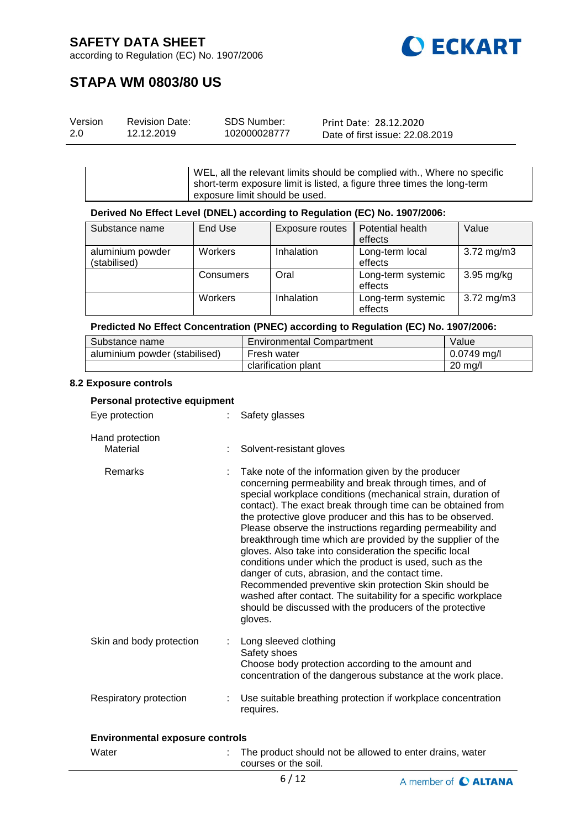

according to Regulation (EC) No. 1907/2006

## **STAPA WM 0803/80 US**

| Version | <b>Revision Date:</b> | SDS Number:  | Print Date: 28.12.2020          |
|---------|-----------------------|--------------|---------------------------------|
| 2.0     | 12.12.2019            | 102000028777 | Date of first issue: 22.08.2019 |

WEL, all the relevant limits should be complied with., Where no specific short-term exposure limit is listed, a figure three times the long-term exposure limit should be used.

#### **Derived No Effect Level (DNEL) according to Regulation (EC) No. 1907/2006:**

| Substance name   | End Use   | Exposure routes   | Potential health   | Value                   |
|------------------|-----------|-------------------|--------------------|-------------------------|
|                  |           |                   | effects            |                         |
| aluminium powder | Workers   | <b>Inhalation</b> | Long-term local    | $3.72 \,\mathrm{mg/m3}$ |
| (stabilised)     |           |                   | effects            |                         |
|                  | Consumers | Oral              | Long-term systemic | $3.95$ mg/kg            |
|                  |           |                   | effects            |                         |
|                  | Workers   | Inhalation        | Long-term systemic | $3.72 \,\mathrm{mg/m3}$ |
|                  |           |                   | effects            |                         |

#### **Predicted No Effect Concentration (PNEC) according to Regulation (EC) No. 1907/2006:**

| Substance name                | Environmental Compartment | Value             |
|-------------------------------|---------------------------|-------------------|
| aluminium powder (stabilised) | Fresh water               | $0.0749$ ma/l     |
|                               | clarification plant       | $20 \text{ mg/l}$ |

#### **8.2 Exposure controls**

| Personal protective equipment |                                                                                                                                                                                                                                                                                                                                                                                                                                                                                                                                                                                                                                                                                                                                                                                                                    |
|-------------------------------|--------------------------------------------------------------------------------------------------------------------------------------------------------------------------------------------------------------------------------------------------------------------------------------------------------------------------------------------------------------------------------------------------------------------------------------------------------------------------------------------------------------------------------------------------------------------------------------------------------------------------------------------------------------------------------------------------------------------------------------------------------------------------------------------------------------------|
| Eye protection                | Safety glasses                                                                                                                                                                                                                                                                                                                                                                                                                                                                                                                                                                                                                                                                                                                                                                                                     |
| Hand protection<br>Material   | Solvent-resistant gloves                                                                                                                                                                                                                                                                                                                                                                                                                                                                                                                                                                                                                                                                                                                                                                                           |
| <b>Remarks</b>                | Take note of the information given by the producer<br>concerning permeability and break through times, and of<br>special workplace conditions (mechanical strain, duration of<br>contact). The exact break through time can be obtained from<br>the protective glove producer and this has to be observed.<br>Please observe the instructions regarding permeability and<br>breakthrough time which are provided by the supplier of the<br>gloves. Also take into consideration the specific local<br>conditions under which the product is used, such as the<br>danger of cuts, abrasion, and the contact time.<br>Recommended preventive skin protection Skin should be<br>washed after contact. The suitability for a specific workplace<br>should be discussed with the producers of the protective<br>gloves. |
| Skin and body protection      | Long sleeved clothing<br>Safety shoes<br>Choose body protection according to the amount and<br>concentration of the dangerous substance at the work place.                                                                                                                                                                                                                                                                                                                                                                                                                                                                                                                                                                                                                                                         |
| Respiratory protection        | Use suitable breathing protection if workplace concentration<br>requires.                                                                                                                                                                                                                                                                                                                                                                                                                                                                                                                                                                                                                                                                                                                                          |

### **Environmental exposure controls**

| Water | The product should not be allowed to enter drains, water<br>courses or the soil. |
|-------|----------------------------------------------------------------------------------|
|       |                                                                                  |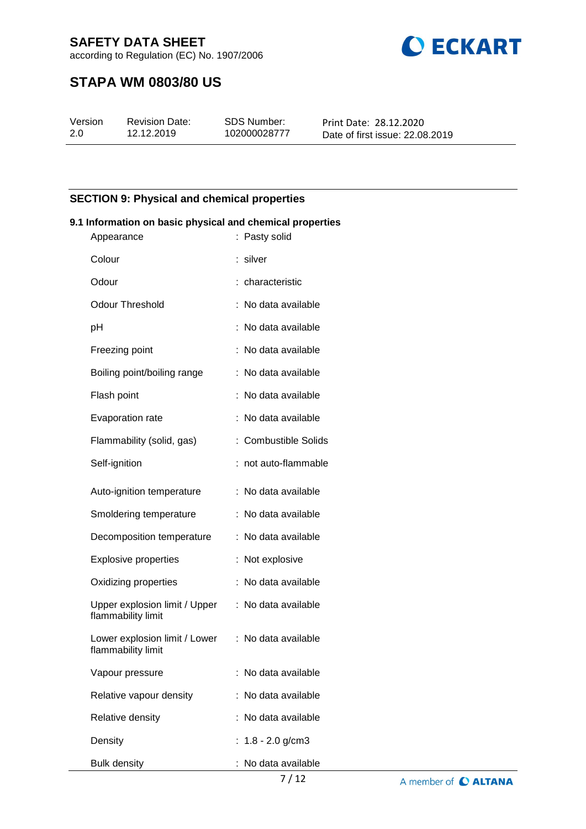according to Regulation (EC) No. 1907/2006



## **STAPA WM 0803/80 US**

| Version | <b>Revision Date:</b> | SDS Number:  | Print Date: 28.12.2020          |
|---------|-----------------------|--------------|---------------------------------|
| 2.0     | 12.12.2019            | 102000028777 | Date of first issue: 22.08.2019 |

### **SECTION 9: Physical and chemical properties**

#### **9.1 Information on basic physical and chemical properties**

| Appearance                                          | : Pasty solid        |
|-----------------------------------------------------|----------------------|
| Colour                                              | silver               |
| Odour                                               | : characteristic     |
| <b>Odour Threshold</b>                              | : No data available  |
| рH                                                  | No data available    |
| Freezing point                                      | : No data available  |
| Boiling point/boiling range                         | : No data available  |
| Flash point                                         | No data available    |
| Evaporation rate                                    | : No data available  |
| Flammability (solid, gas)                           | : Combustible Solids |
| Self-ignition                                       | : not auto-flammable |
| Auto-ignition temperature                           | : No data available  |
| Smoldering temperature                              | : No data available  |
| Decomposition temperature                           | : No data available  |
| <b>Explosive properties</b>                         | : Not explosive      |
| Oxidizing properties                                | : No data available  |
| Upper explosion limit / Upper<br>flammability limit | : No data available  |
| Lower explosion limit / Lower<br>flammability limit | : No data available  |
| Vapour pressure                                     | : No data available  |
| Relative vapour density                             | : No data available  |
| Relative density                                    | : No data available  |
| Density                                             | : $1.8 - 2.0$ g/cm3  |
| <b>Bulk density</b>                                 | : No data available  |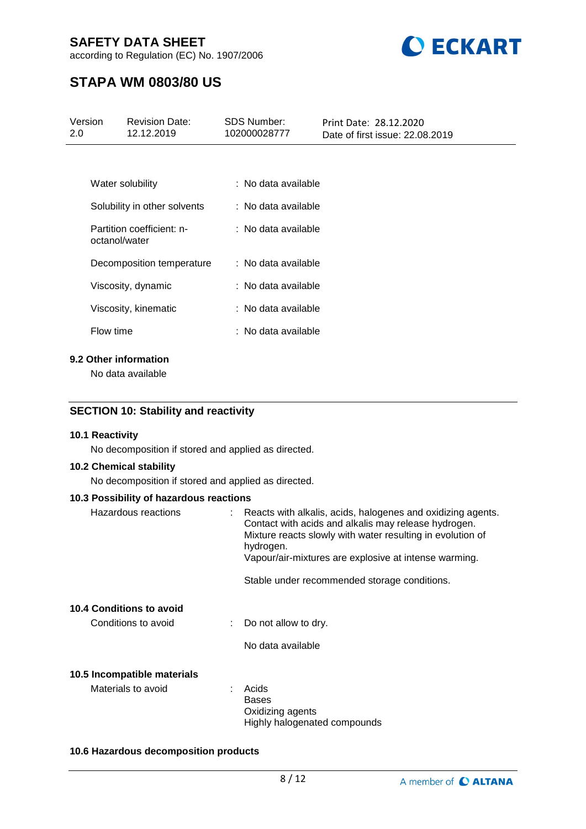according to Regulation (EC) No. 1907/2006



## **STAPA WM 0803/80 US**

| Version<br>$2.0^{\circ}$ |               | <b>Revision Date:</b><br>12.12.2019        | <b>SDS Number:</b><br>102000028777 | Print Date: 28.12.2020<br>Date of first issue: 22.08.2019 |
|--------------------------|---------------|--------------------------------------------|------------------------------------|-----------------------------------------------------------|
|                          |               |                                            |                                    |                                                           |
|                          |               | Water solubility                           | : No data available                |                                                           |
|                          |               | Solubility in other solvents               | : No data available                |                                                           |
|                          | octanol/water | Partition coefficient: n-                  | $\therefore$ No data available     |                                                           |
|                          |               | Decomposition temperature                  | : No data available                |                                                           |
|                          |               | Viscosity, dynamic                         | : No data available                |                                                           |
|                          |               | Viscosity, kinematic                       | : No data available                |                                                           |
|                          | Flow time     |                                            | : No data available                |                                                           |
|                          |               | 9.2 Other information<br>No data available |                                    |                                                           |

### **SECTION 10: Stability and reactivity**

#### **10.1 Reactivity**

No decomposition if stored and applied as directed.

#### **10.2 Chemical stability**

No decomposition if stored and applied as directed.

### **10.3 Possibility of hazardous reactions**

| Hazardous reactions                               | Reacts with alkalis, acids, halogenes and oxidizing agents.<br>Contact with acids and alkalis may release hydrogen.<br>Mixture reacts slowly with water resulting in evolution of<br>hydrogen.<br>Vapour/air-mixtures are explosive at intense warming.<br>Stable under recommended storage conditions. |
|---------------------------------------------------|---------------------------------------------------------------------------------------------------------------------------------------------------------------------------------------------------------------------------------------------------------------------------------------------------------|
| 10.4 Conditions to avoid<br>Conditions to avoid   | $\therefore$ Do not allow to dry.<br>No data available                                                                                                                                                                                                                                                  |
| 10.5 Incompatible materials<br>Materials to avoid | Acids<br><b>Bases</b><br>Oxidizing agents<br>Highly halogenated compounds                                                                                                                                                                                                                               |

#### **10.6 Hazardous decomposition products**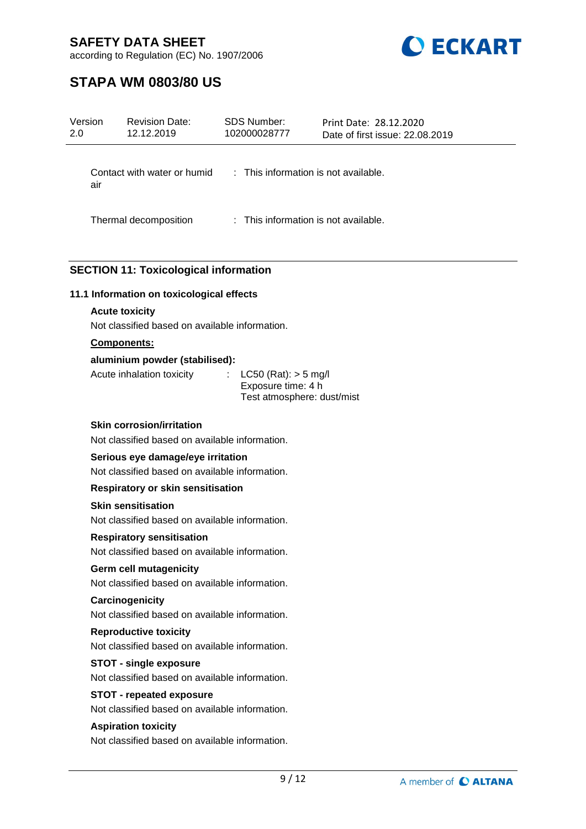

according to Regulation (EC) No. 1907/2006

## **STAPA WM 0803/80 US**

| Version<br>2.0 | <b>Revision Date:</b><br>12.12.2019                                             | <b>SDS Number:</b><br>102000028777                                           | Print Date: 28.12.2020<br>Date of first issue: 22.08.2019 |  |
|----------------|---------------------------------------------------------------------------------|------------------------------------------------------------------------------|-----------------------------------------------------------|--|
|                | Contact with water or humid : This information is not available.<br>air         |                                                                              |                                                           |  |
|                | Thermal decomposition                                                           | : This information is not available.                                         |                                                           |  |
|                | <b>SECTION 11: Toxicological information</b>                                    |                                                                              |                                                           |  |
|                | 11.1 Information on toxicological effects                                       |                                                                              |                                                           |  |
|                | <b>Acute toxicity</b>                                                           |                                                                              |                                                           |  |
|                | Not classified based on available information.                                  |                                                                              |                                                           |  |
|                | <b>Components:</b>                                                              |                                                                              |                                                           |  |
|                | aluminium powder (stabilised):                                                  |                                                                              |                                                           |  |
|                | Acute inhalation toxicity                                                       | $LC50$ (Rat): $> 5$ mg/l<br>Exposure time: 4 h<br>Test atmosphere: dust/mist |                                                           |  |
|                | <b>Skin corrosion/irritation</b>                                                |                                                                              |                                                           |  |
|                | Not classified based on available information.                                  |                                                                              |                                                           |  |
|                | Serious eye damage/eye irritation                                               |                                                                              |                                                           |  |
|                | Not classified based on available information.                                  |                                                                              |                                                           |  |
|                | <b>Respiratory or skin sensitisation</b>                                        |                                                                              |                                                           |  |
|                | <b>Skin sensitisation</b>                                                       |                                                                              |                                                           |  |
|                | Not classified based on available information.                                  |                                                                              |                                                           |  |
|                | <b>Respiratory sensitisation</b>                                                |                                                                              |                                                           |  |
|                | Not classified based on available information.                                  |                                                                              |                                                           |  |
|                | <b>Germ cell mutagenicity</b>                                                   |                                                                              |                                                           |  |
|                | Not classified based on available information.                                  |                                                                              |                                                           |  |
|                | Carcinogenicity                                                                 |                                                                              |                                                           |  |
|                | Not classified based on available information.                                  |                                                                              |                                                           |  |
|                | <b>Reproductive toxicity</b><br>Not classified based on available information.  |                                                                              |                                                           |  |
|                |                                                                                 |                                                                              |                                                           |  |
|                | <b>STOT - single exposure</b><br>Not classified based on available information. |                                                                              |                                                           |  |
|                | <b>STOT - repeated exposure</b>                                                 |                                                                              |                                                           |  |
|                | Not classified based on available information.                                  |                                                                              |                                                           |  |

**Aspiration toxicity**

Not classified based on available information.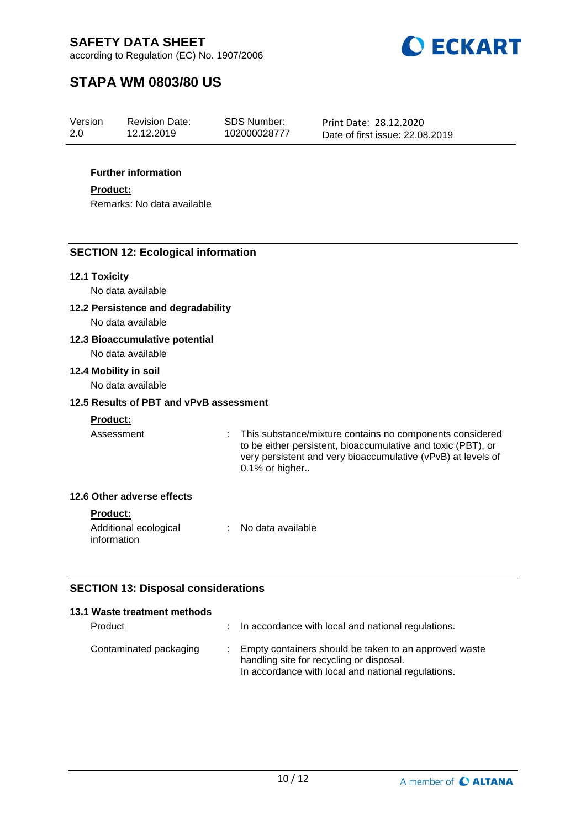



## **STAPA WM 0803/80 US**

| Version | <b>Revision Date:</b> | <b>SDS Number:</b> | Print Date: 28.12.2020          |
|---------|-----------------------|--------------------|---------------------------------|
| 2.0     | 12.12.2019            | 102000028777       | Date of first issue: 22.08.2019 |

### **Further information**

#### **Product:**

Remarks: No data available

### **SECTION 12: Ecological information**

### **12.1 Toxicity**

No data available

**12.2 Persistence and degradability**

No data available

### **12.3 Bioaccumulative potential**

No data available

#### **12.4 Mobility in soil**

No data available

### **12.5 Results of PBT and vPvB assessment**

### **Product:**

Assessment : This substance/mixture contains no components considered to be either persistent, bioaccumulative and toxic (PBT), or very persistent and very bioaccumulative (vPvB) at levels of 0.1% or higher..

### **12.6 Other adverse effects**

#### **Product:**

| Additional ecological | No data available |
|-----------------------|-------------------|
| information           |                   |

### **SECTION 13: Disposal considerations**

| 13.1 Waste treatment methods |                                                                                                                                                           |
|------------------------------|-----------------------------------------------------------------------------------------------------------------------------------------------------------|
| Product                      | : In accordance with local and national regulations.                                                                                                      |
| Contaminated packaging       | : Empty containers should be taken to an approved waste<br>handling site for recycling or disposal.<br>In accordance with local and national regulations. |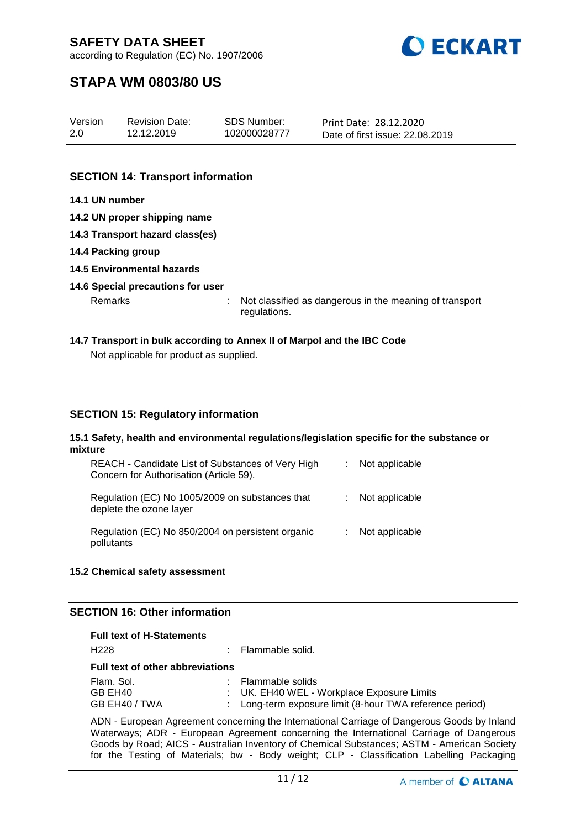

according to Regulation (EC) No. 1907/2006

## **STAPA WM 0803/80 US**

| Version | <b>Revision Date:</b> | SDS Number:  | Print Date: 28.12.2020          |
|---------|-----------------------|--------------|---------------------------------|
| 2.0     | 12.12.2019            | 102000028777 | Date of first issue: 22.08.2019 |
|         |                       |              |                                 |

### **SECTION 14: Transport information**

### **14.1 UN number**

- **14.2 UN proper shipping name**
- **14.3 Transport hazard class(es)**
- **14.4 Packing group**
- **14.5 Environmental hazards**

### **14.6 Special precautions for user**

Remarks : Not classified as dangerous in the meaning of transport regulations.

# **14.7 Transport in bulk according to Annex II of Marpol and the IBC Code**

Not applicable for product as supplied.

### **SECTION 15: Regulatory information**

#### **15.1 Safety, health and environmental regulations/legislation specific for the substance or mixture**

| REACH - Candidate List of Substances of Very High<br>Concern for Authorisation (Article 59). | Not applicable |
|----------------------------------------------------------------------------------------------|----------------|
| Regulation (EC) No 1005/2009 on substances that<br>deplete the ozone layer                   | Not applicable |
| Regulation (EC) No 850/2004 on persistent organic<br>pollutants                              | Not applicable |

### **15.2 Chemical safety assessment**

### **SECTION 16: Other information**

| <b>Full text of H-Statements</b>        |                 |                                                                                                                            |  |
|-----------------------------------------|-----------------|----------------------------------------------------------------------------------------------------------------------------|--|
| H <sub>228</sub>                        | t.              | Flammable solid.                                                                                                           |  |
| <b>Full text of other abbreviations</b> |                 |                                                                                                                            |  |
| Flam, Sol.<br>GB EH40<br>GB EH40 / TWA  | <b>Contract</b> | Flammable solids<br>: UK. EH40 WEL - Workplace Exposure Limits<br>: Long-term exposure limit (8-hour TWA reference period) |  |

ADN - European Agreement concerning the International Carriage of Dangerous Goods by Inland Waterways; ADR - European Agreement concerning the International Carriage of Dangerous Goods by Road; AICS - Australian Inventory of Chemical Substances; ASTM - American Society for the Testing of Materials; bw - Body weight; CLP - Classification Labelling Packaging